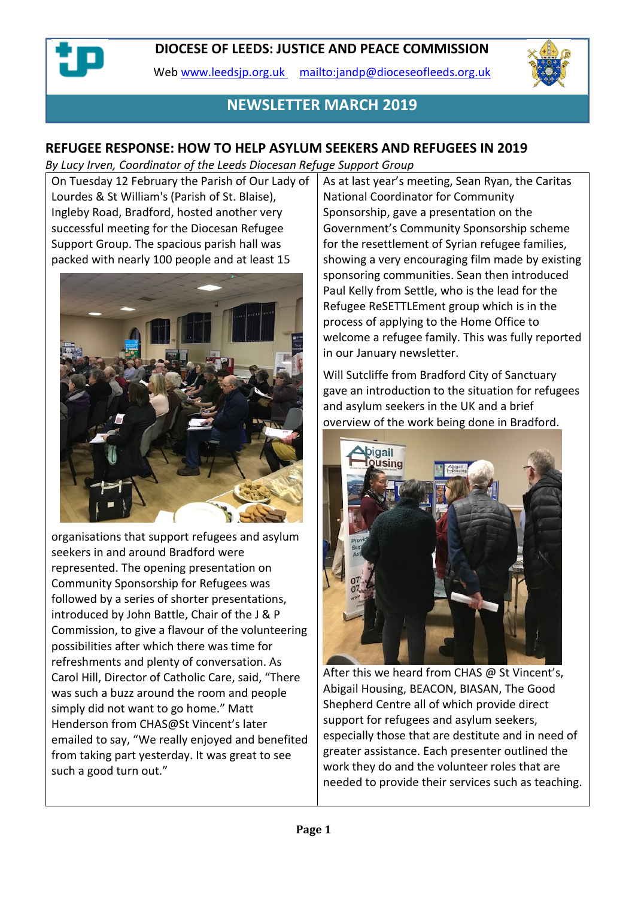Web [www.leedsjp.org.uk](http://www.leedsjp.org.uk/) <mailto:jandp@dioceseofleeds.org.uk>



## **NEWSLETTER MARCH 2019**

## **REFUGEE RESPONSE: HOW TO HELP ASYLUM SEEKERS AND REFUGEES IN 2019**

*By Lucy Irven, Coordinator of the Leeds Diocesan Refuge Support Group*

On Tuesday 12 February the Parish of Our Lady of Lourdes & St William's (Parish of St. Blaise), Ingleby Road, Bradford, hosted another very successful meeting for the Diocesan Refugee Support Group. The spacious parish hall was packed with nearly 100 people and at least 15



organisations that support refugees and asylum seekers in and around Bradford were represented. The opening presentation on Community Sponsorship for Refugees was followed by a series of shorter presentations, introduced by John Battle, Chair of the J & P Commission, to give a flavour of the volunteering possibilities after which there was time for refreshments and plenty of conversation. As Carol Hill, Director of Catholic Care, said, "There was such a buzz around the room and people simply did not want to go home." Matt Henderson from CHAS@St Vincent's later emailed to say, "We really enjoyed and benefited from taking part yesterday. It was great to see such a good turn out."

As at last year's meeting, Sean Ryan, the Caritas National Coordinator for Community Sponsorship, gave a presentation on the Government's Community Sponsorship scheme for the resettlement of Syrian refugee families, showing a very encouraging film made by existing sponsoring communities. Sean then introduced Paul Kelly from Settle, who is the lead for the Refugee ReSETTLEment group which is in the process of applying to the Home Office to welcome a refugee family. This was fully reported in our January newsletter.

Will Sutcliffe from Bradford City of Sanctuary gave an introduction to the situation for refugees and asylum seekers in the UK and a brief overview of the work being done in Bradford.



After this we heard from CHAS @ St Vincent's, Abigail Housing, BEACON, BIASAN, The Good Shepherd Centre all of which provide direct support for refugees and asylum seekers, especially those that are destitute and in need of greater assistance. Each presenter outlined the work they do and the volunteer roles that are needed to provide their services such as teaching.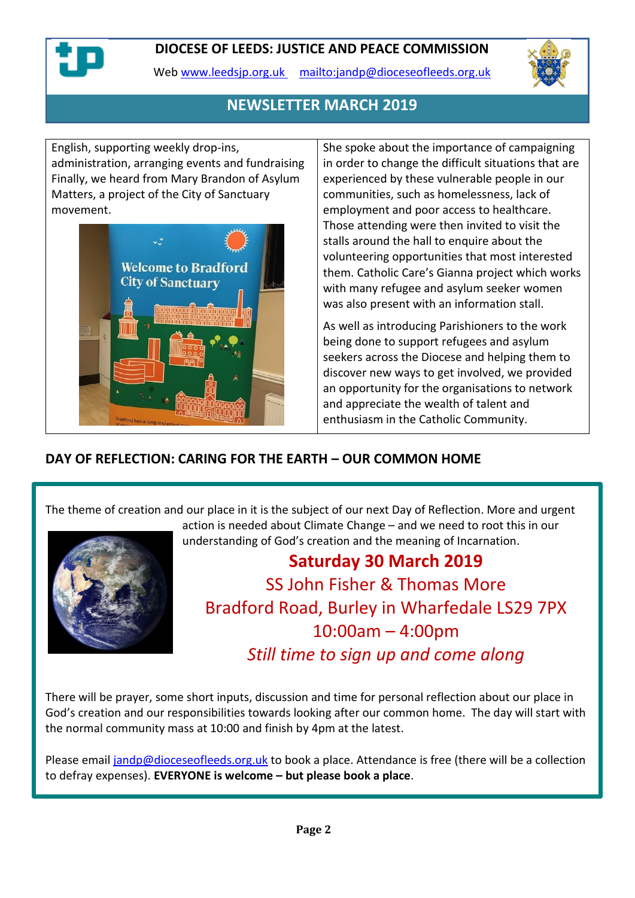

Web [www.leedsjp.org.uk](http://www.leedsjp.org.uk/) <mailto:jandp@dioceseofleeds.org.uk>



## **NEWSLETTER MARCH 2019**

English, supporting weekly drop-ins, administration, arranging events and fundraising Finally, we heard from Mary Brandon of Asylum Matters, a project of the City of Sanctuary movement.



She spoke about the importance of campaigning in order to change the difficult situations that are experienced by these vulnerable people in our communities, such as homelessness, lack of employment and poor access to healthcare. Those attending were then invited to visit the stalls around the hall to enquire about the volunteering opportunities that most interested them. Catholic Care's Gianna project which works with many refugee and asylum seeker women was also present with an information stall.

As well as introducing Parishioners to the work being done to support refugees and asylum seekers across the Diocese and helping them to discover new ways to get involved, we provided an opportunity for the organisations to network and appreciate the wealth of talent and enthusiasm in the Catholic Community.

## **DAY OF REFLECTION: CARING FOR THE EARTH – OUR COMMON HOME**

The theme of creation and our place in it is the subject of our next Day of Reflection. More and urgent



action is needed about Climate Change – and we need to root this in our understanding of God's creation and the meaning of Incarnation.

# **Saturday 30 March 2019** SS John Fisher & Thomas More Bradford Road, Burley in Wharfedale LS29 7PX 10:00am – 4:00pm *Still time to sign up and come along*

There will be prayer, some short inputs, discussion and time for personal reflection about our place in God's creation and our responsibilities towards looking after our common home. The day will start with the normal community mass at 10:00 and finish by 4pm at the latest.

Please email [jandp@dioceseofleeds.org.uk](mailto:jandp@dioceseofleeds.org.uk) to book a place. Attendance is free (there will be a collection to defray expenses). **EVERYONE is welcome – but please book a place**.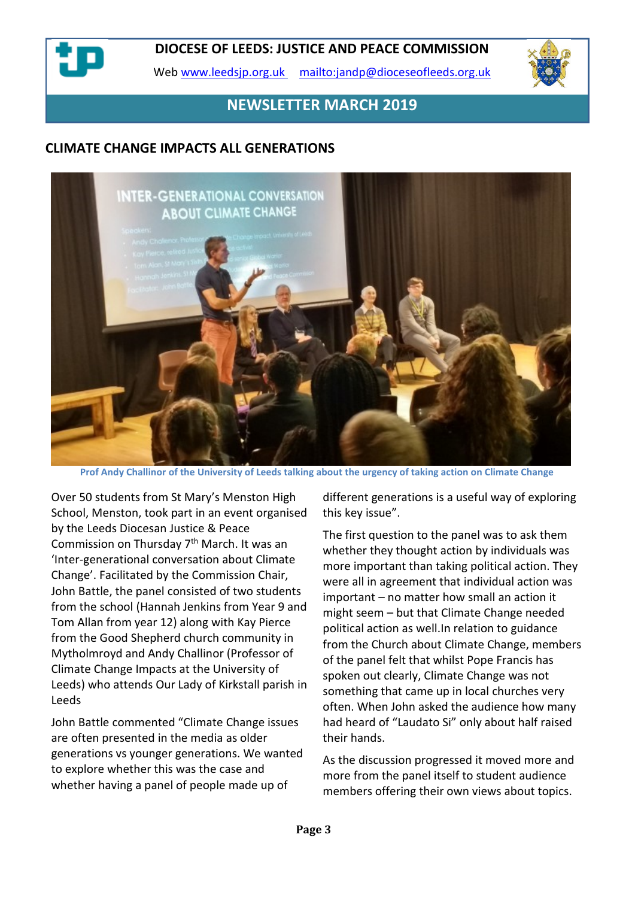

Web [www.leedsjp.org.uk](http://www.leedsjp.org.uk/) <mailto:jandp@dioceseofleeds.org.uk>



## **NEWSLETTER MARCH 2019**

## **CLIMATE CHANGE IMPACTS ALL GENERATIONS**



**Prof Andy Challinor of the University of Leeds talking about the urgency of taking action on Climate Change**

Over 50 students from St Mary's Menston High School, Menston, took part in an event organised by the Leeds Diocesan Justice & Peace Commission on Thursday 7th March. It was an 'Inter-generational conversation about Climate Change'. Facilitated by the Commission Chair, John Battle, the panel consisted of two students from the school (Hannah Jenkins from Year 9 and Tom Allan from year 12) along with Kay Pierce from the Good Shepherd church community in Mytholmroyd and Andy Challinor (Professor of Climate Change Impacts at the University of Leeds) who attends Our Lady of Kirkstall parish in Leeds

John Battle commented "Climate Change issues are often presented in the media as older generations vs younger generations. We wanted to explore whether this was the case and whether having a panel of people made up of

different generations is a useful way of exploring this key issue".

The first question to the panel was to ask them whether they thought action by individuals was more important than taking political action. They were all in agreement that individual action was important – no matter how small an action it might seem – but that Climate Change needed political action as well.In relation to guidance from the Church about Climate Change, members of the panel felt that whilst Pope Francis has spoken out clearly, Climate Change was not something that came up in local churches very often. When John asked the audience how many had heard of "Laudato Si" only about half raised their hands.

As the discussion progressed it moved more and more from the panel itself to student audience members offering their own views about topics.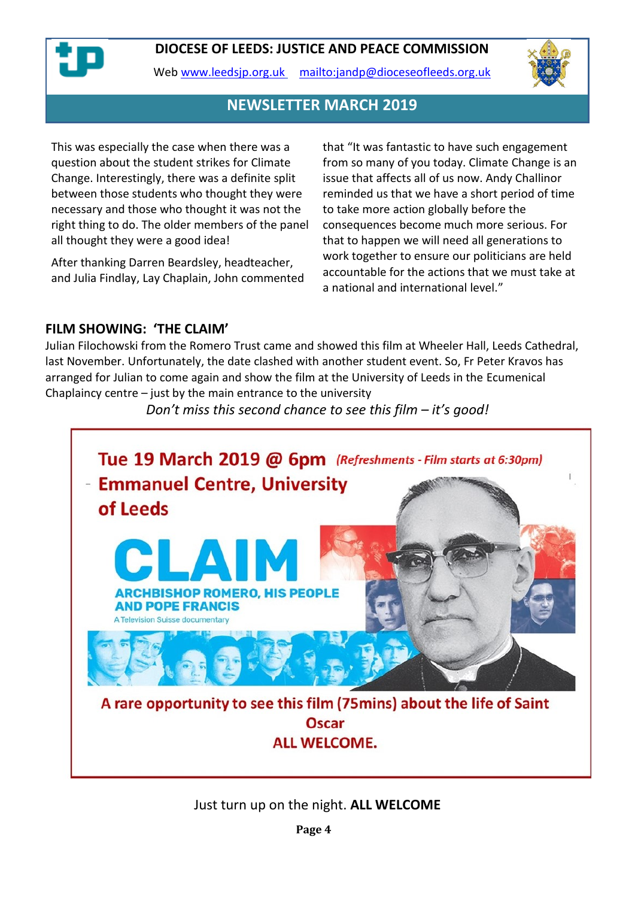

Web [www.leedsjp.org.uk](http://www.leedsjp.org.uk/) <mailto:jandp@dioceseofleeds.org.uk>



## **NEWSLETTER MARCH 2019**

This was especially the case when there was a question about the student strikes for Climate Change. Interestingly, there was a definite split between those students who thought they were necessary and those who thought it was not the right thing to do. The older members of the panel all thought they were a good idea!

After thanking Darren Beardsley, headteacher, and Julia Findlay, Lay Chaplain, John commented that "It was fantastic to have such engagement from so many of you today. Climate Change is an issue that affects all of us now. Andy Challinor reminded us that we have a short period of time to take more action globally before the consequences become much more serious. For that to happen we will need all generations to work together to ensure our politicians are held accountable for the actions that we must take at a national and international level."

#### **FILM SHOWING: 'THE CLAIM'**

Julian Filochowski from the Romero Trust came and showed this film at Wheeler Hall, Leeds Cathedral, last November. Unfortunately, the date clashed with another student event. So, Fr Peter Kravos has arranged for Julian to come again and show the film at the University of Leeds in the Ecumenical Chaplaincy centre  $-$  just by the main entrance to the university

*Don't miss this second chance to see this film – it's good!*



Just turn up on the night. **ALL WELCOME**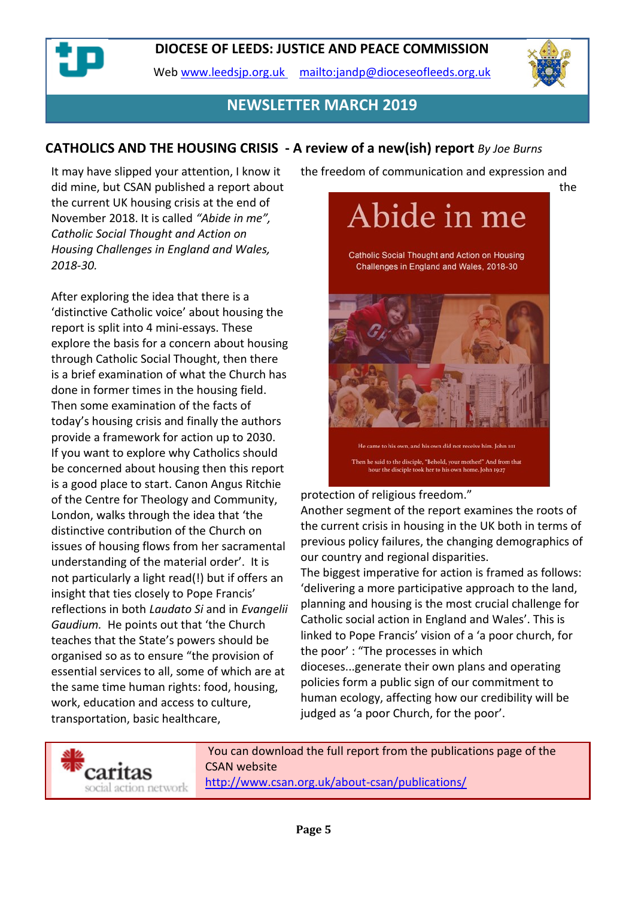Web [www.leedsjp.org.uk](http://www.leedsjp.org.uk/) <mailto:jandp@dioceseofleeds.org.uk>



## **NEWSLETTER MARCH 2019**

## **CATHOLICS AND THE HOUSING CRISIS - A review of a new(ish) report** *By Joe Burns*

It may have slipped your attention, I know it did mine, but CSAN published a report about the current UK housing crisis at the end of November 2018. It is called *"Abide in me", Catholic Social Thought and Action on Housing Challenges in England and Wales, 2018-30.*

After exploring the idea that there is a 'distinctive Catholic voice' about housing the report is split into 4 mini-essays. These explore the basis for a concern about housing through Catholic Social Thought, then there is a brief examination of what the Church has done in former times in the housing field. Then some examination of the facts of today's housing crisis and finally the authors provide a framework for action up to 2030. If you want to explore why Catholics should be concerned about housing then this report is a good place to start. Canon Angus Ritchie of the Centre for Theology and Community, London, walks through the idea that 'the distinctive contribution of the Church on issues of housing flows from her sacramental understanding of the material order'. It is not particularly a light read(!) but if offers an insight that ties closely to Pope Francis' reflections in both *Laudato Si* and in *Evangelii Gaudium.* He points out that 'the Church teaches that the State's powers should be organised so as to ensure "the provision of essential services to all, some of which are at the same time human rights: food, housing, work, education and access to culture, transportation, basic healthcare,

the freedom of communication and expression and



protection of religious freedom."

Another segment of the report examines the roots of the current crisis in housing in the UK both in terms of previous policy failures, the changing demographics of our country and regional disparities.

The biggest imperative for action is framed as follows: 'delivering a more participative approach to the land, planning and housing is the most crucial challenge for Catholic social action in England and Wales'. This is linked to Pope Francis' vision of a 'a poor church, for the poor' : "The processes in which dioceses...generate their own plans and operating policies form a public sign of our commitment to human ecology, affecting how our credibility will be judged as 'a poor Church, for the poor'.



You can download the full report from the publications page of the CSAN website <http://www.csan.org.uk/about-csan/publications/>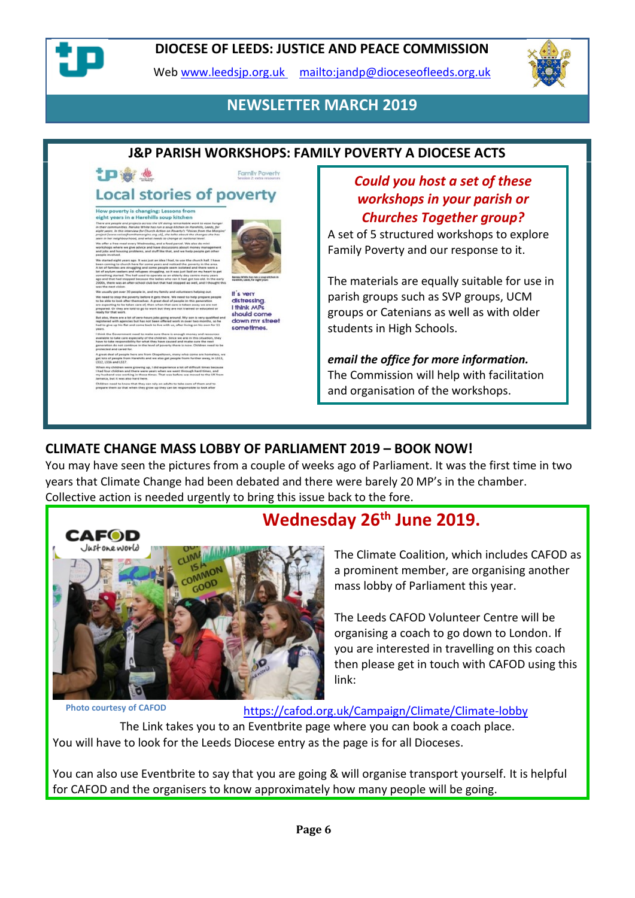

Web [www.leedsjp.org.uk](http://www.leedsjp.org.uk/) <mailto:jandp@dioceseofleeds.org.uk>



## **NEWSLETTER MARCH 2019**

## **J&P PARISH WORKSHOPS: FAMILY POVERTY A DIOCESE ACTS**

# **ID & &**

**Family Poverty** 

's very distressing I think MPs should com down my street sometimes.

# **Local stories of poverty**

#### How poverty is changing: Lessons from<br>eight years in a Harehills soup kitchen

## *Could you host a set of these workshops in your parish or Churches Together group?*

A set of 5 structured workshops to explore Family Poverty and our response to it.

The materials are equally suitable for use in parish groups such as SVP groups, UCM groups or Catenians as well as with older students in High Schools.

*email the office for more information.* The Commission will help with facilitation and organisation of the workshops.

## **CLIMATE CHANGE MASS LOBBY OF PARLIAMENT 2019 – BOOK NOW!**

You may have seen the pictures from a couple of weeks ago of Parliament. It was the first time in two years that Climate Change had been debated and there were barely 20 MP's in the chamber. Collective action is needed urgently to bring this issue back to the fore.



# **Wednesday 26th June 2019.**

The Climate Coalition, which includes CAFOD as a prominent member, are organising another mass lobby of Parliament this year.

The Leeds CAFOD Volunteer Centre will be organising a coach to go down to London. If you are interested in travelling on this coach then please get in touch with CAFOD using this link:

**Photo courtesy of CAFOD**

<https://cafod.org.uk/Campaign/Climate/Climate-lobby>

The Link takes you to an Eventbrite page where you can book a coach place. You will have to look for the Leeds Diocese entry as the page is for all Dioceses.

You can also use Eventbrite to say that you are going & will organise transport yourself. It is helpful for CAFOD and the organisers to know approximately how many people will be going.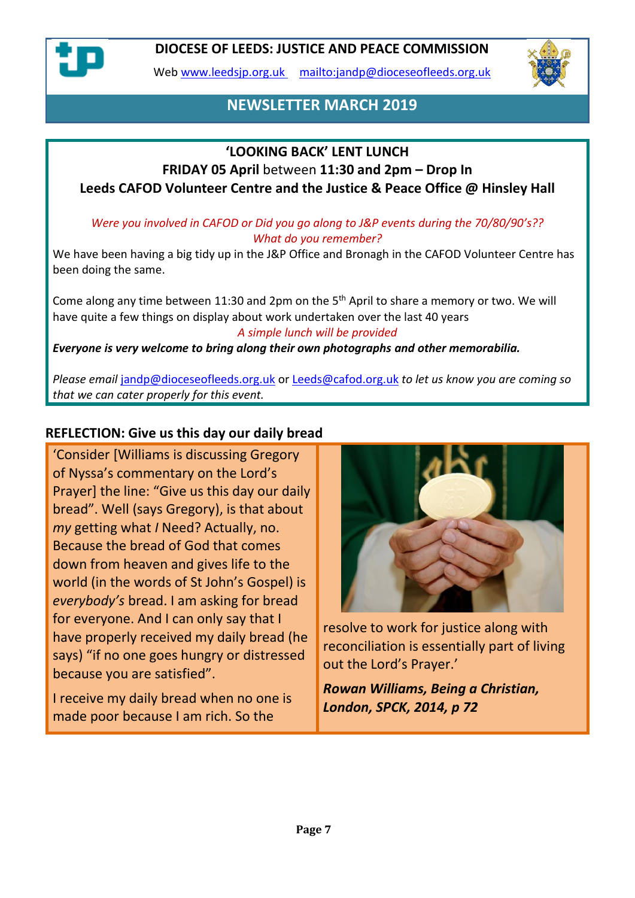

Web [www.leedsjp.org.uk](http://www.leedsjp.org.uk/) <mailto:jandp@dioceseofleeds.org.uk>



## **NEWSLETTER MARCH 2019**

## **'LOOKING BACK' LENT LUNCH**

## **FRIDAY 05 April** between **11:30 and 2pm – Drop In Leeds CAFOD Volunteer Centre and the Justice & Peace Office @ Hinsley Hall**

#### *Were you involved in CAFOD or Did you go along to J&P events during the 70/80/90's?? What do you remember?*

We have been having a big tidy up in the J&P Office and Bronagh in the CAFOD Volunteer Centre has been doing the same.

Come along any time between 11:30 and 2pm on the 5<sup>th</sup> April to share a memory or two. We will have quite a few things on display about work undertaken over the last 40 years *A simple lunch will be provided*

#### *Everyone is very welcome to bring along their own photographs and other memorabilia.*

*Please email* [jandp@dioceseofleeds.org.uk](mailto:jandp@dioceseofleeds.org.uk) or [Leeds@cafod.org.uk](mailto:Leeds@cafod.org.uk) *to let us know you are coming so that we can cater properly for this event.*

## **REFLECTION: Give us this day our daily bread**

'Consider [Williams is discussing Gregory of Nyssa's commentary on the Lord's Prayer] the line: "Give us this day our daily bread". Well (says Gregory), is that about *my* getting what *I* Need? Actually, no. Because the bread of God that comes down from heaven and gives life to the world (in the words of St John's Gospel) is *everybody's* bread. I am asking for bread for everyone. And I can only say that I have properly received my daily bread (he says) "if no one goes hungry or distressed because you are satisfied".

I receive my daily bread when no one is made poor because I am rich. So the



resolve to work for justice along with reconciliation is essentially part of living out the Lord's Prayer.'

*Rowan Williams, Being a Christian, London, SPCK, 2014, p 72*